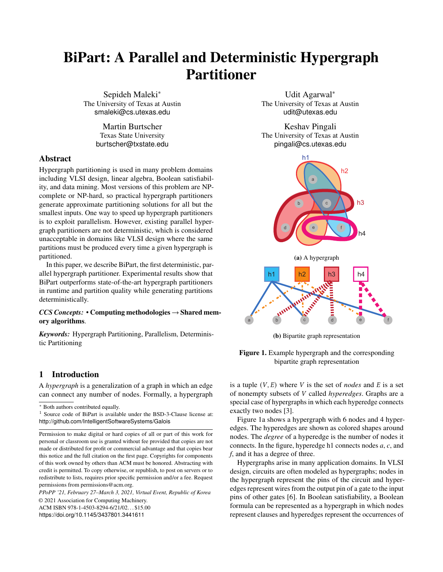# BiPart: A Parallel and Deterministic Hypergraph Partitioner

Sepideh Maleki<sup>∗</sup> The University of Texas at Austin smaleki@cs.utexas.edu

> Martin Burtscher Texas State University burtscher@txstate.edu

## Abstract

Hypergraph partitioning is used in many problem domains including VLSI design, linear algebra, Boolean satisfiability, and data mining. Most versions of this problem are NPcomplete or NP-hard, so practical hypergraph partitioners generate approximate partitioning solutions for all but the smallest inputs. One way to speed up hypergraph partitioners is to exploit parallelism. However, existing parallel hypergraph partitioners are not deterministic, which is considered unacceptable in domains like VLSI design where the same partitions must be produced every time a given hypergraph is partitioned.

In this paper, we describe BiPart, the first deterministic, parallel hypergraph partitioner. Experimental results show that BiPart outperforms state-of-the-art hypergraph partitioners in runtime and partition quality while generating partitions deterministically.

## *CCS Concepts:* • Computing methodologies → Shared memory algorithms.

*Keywords:* Hypergraph Partitioning, Parallelism, Deterministic Partitioning

# <span id="page-0-1"></span>1 Introduction

A *hypergraph* is a generalization of a graph in which an edge can connect any number of nodes. Formally, a hypergraph

*PPoPP '21, February 27–March 3, 2021, Virtual Event, Republic of Korea* © 2021 Association for Computing Machinery.

ACM ISBN 978-1-4503-8294-6/21/02. . . \$15.00 <https://doi.org/10.1145/3437801.3441611>

Udit Agarwal<sup>∗</sup> The University of Texas at Austin udit@utexas.edu

Keshav Pingali The University of Texas at Austin pingali@cs.utexas.edu

<span id="page-0-0"></span>

(b) Bipartite graph representation



is a tuple  $(V, E)$  where V is the set of *nodes* and  $E$  is a set of nonempty subsets of *V* called *hyperedges*. Graphs are a special case of hypergraphs in which each hyperedge connects exactly two nodes [\[3\]](#page-11-0).

Figure [1a](#page-0-0) shows a hypergraph with 6 nodes and 4 hyperedges. The hyperedges are shown as colored shapes around nodes. The *degree* of a hyperedge is the number of nodes it connects. In the figure, hyperedge h1 connects nodes *a*, *c*, and *f*, and it has a degree of three.

Hypergraphs arise in many application domains. In VLSI design, circuits are often modeled as hypergraphs; nodes in the hypergraph represent the pins of the circuit and hyperedges represent wires from the output pin of a gate to the input pins of other gates [\[6\]](#page-11-1). In Boolean satisfiability, a Boolean formula can be represented as a hypergraph in which nodes represent clauses and hyperedges represent the occurrences of

<sup>∗</sup> Both authors contributed equally.

<sup>1</sup> Source code of BiPart is available under the BSD-3-Clause license at: <http://github.com/IntelligentSoftwareSystems/Galois>

Permission to make digital or hard copies of all or part of this work for personal or classroom use is granted without fee provided that copies are not made or distributed for profit or commercial advantage and that copies bear this notice and the full citation on the first page. Copyrights for components of this work owned by others than ACM must be honored. Abstracting with credit is permitted. To copy otherwise, or republish, to post on servers or to redistribute to lists, requires prior specific permission and/or a fee. Request permissions from permissions@acm.org.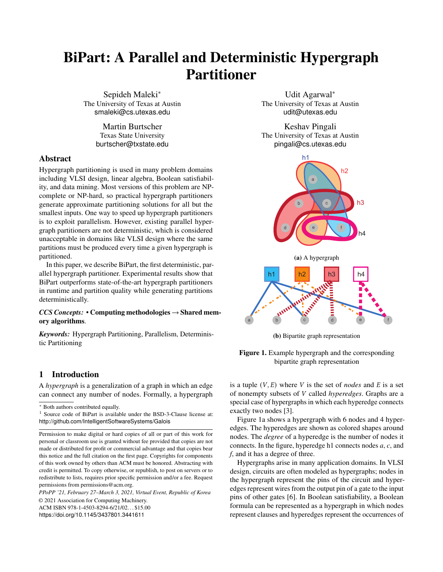a given literal in these clauses. Hypergraphs are also used to model data-center networks [\[37\]](#page-12-0), optimize storage sharding in distributed databases [\[20\]](#page-11-2), and minimize the number of transactions in data centers with distributed data [\[39\]](#page-12-1).

## 1.1 Hypergraph Partitioning

In many of these applications, it is necessary to partition the hypergraph into a given number of subgraphs. For example, one of the key steps in VLSI design, called placement, assigns a location on the die to each gate. Good algorithms for placement must balance competing goals: to avoid hotspots on the chip, it is important to spread out circuit components across the entire die but this may increase interconnect wire lengths, reducing the rate at which the chip can be clocked. This problem is often solved using hypergraph partitioning [\[6\]](#page-11-1). Hypergraph partitioning is also used to optimize logic synthesis [\[30\]](#page-12-2), sparse-matrix vector multiplication [\[7\]](#page-11-3), and storage sharding [\[20\]](#page-11-2).

Formally, the k-way hypergraph partitioning problem is defined as follows. Given a hypergraph  $G = (V, E)$ , the number of partitions to be created  $(k \ge 2)$ , and an *imbalance parameter* ( $\epsilon \ge 0$ ), a k-way partition  $P = \{V_1, V_2, ..., V_r\}$  is said to be *balanced* if it satisfies the constraint  $|V_{\delta}| \leq (1 + \epsilon)(|V|/k)$ . Given a partition of the nodes, each hyperedge is assigned a *penalty* equal to one less than the number of partitions that it spans; intuitively, a hyperedge whose nodes are all in a single partition has zero penalty, and the penalty increases as the number of partitions spanned by the hyperedge increases. The penalty for the partition is defined to be the sum of the penalties of all hyperedges. Formally,  $cut(G, P) = \sum_{d} (\lambda_4(G, P) - 1)$ , where  $\lambda_4(G, P)$  is the number of partitions that hyperedge e spans. The goal of hypergraph partitioning is to find a balanced partition that has a minimal cut. In some applications, hyperedges have weights, in which case the contribution to  $cut(G, P)$  from each hyperedge e in the definition above is multiplied by the weight of  $e$ .

Many partitioners produce two partitions (often called *bipartitions*), and this step is repeated recursively to obtain the required number of partitions.

Although graph partitioners have been studied extensively in the literature [\[13,](#page-11-4) [15,](#page-11-5) [23,](#page-11-6) [24\]](#page-11-7), there has been relatively little work on hypergraph partitioning. In principle, graph partitioners can be used for hypergraph partitioning by converting a hypergraph into a graph, which can be accomplished by replacing each hyperedge with a clique of edges connecting the same nodes. However, this transformation increases the memory requirements of the partitioner substantially if there are many large hyperedges and may lead to poor-quality partitions [\[6\]](#page-11-1). Therefore, it is often better to treat hypergraphs separately from graphs. One way to represent a hypergraph H concretely is to use a bipartite graph  $G$  as shown in Figure [1.](#page-0-0) In  $G$ , one set of nodes represents the hyperedges in  $H$ , the other set of nodes represents the nodes in  $H$ , and an edge  $(u, v)$  in *G* is used to represent the fact that, in the hypergraph,

the hyperedge represented by  $u$  contains the node represented by  $v$ .

An ideal hypergraph partitioner has three properties.

- 1. The partitioner should be capable of partitioning *large* hypergraphs with millions of nodes and hyperedges, producing high-quality partitions within a few seconds.
- 2. In some domains like VLSI circuit design, the partitioner must be *deterministic*; *i.e.*, for a given hypergraph, it must produce the same partitions every time it is run *even if the number of threads is changed from run to run*. For example, the manual post-processing in VLSI design after partitioning optimizes the placement of the cells within each partition. Many placement tools can do efficient placement only for standard cells, and if non-standard cells are used, the placement may need to be optimized manually. Deterministic partitioning is essential to avoid having to redo the placement.
- 3. Since hypergraph partitioners are based on heuristics, they have *parameters* whose optimal values may depend on the hypergraph to be partitioned. Hypergraph partitioners should permit design-space exploration of these parameters by sophisticated users.

Most variations of graph and hypergraph partitioning are either NP-complete or NP-hard [\[1\]](#page-11-8), so heuristic methods are used in practice to find good solutions in reasonable time. Prior work in this area is surveyed in Section [2](#page-2-0) [\[7,](#page-11-3) [10,](#page-11-9) [11,](#page-11-10) [16,](#page-11-11) [22,](#page-11-12) [23,](#page-11-6) [26,](#page-11-13) [36\]](#page-12-3).

In our experience, existing partitioners lack one or more of the desirable properties listed above. Many high-quality hypergraph partitioners like HMetis [\[22\]](#page-11-12), PaToH [\[7\]](#page-11-3), and KaHyPar [\[16\]](#page-11-11) are serial programs. For some of the hypergraphs in our test suite, these partitioners either run out of memory or time out after an hour, as described in Section [4.](#page-7-0)

Parallel hypergraph partitioners like Zoltan [\[11\]](#page-11-10) and the Social Hash Partitioner from Facebook [\[20\]](#page-11-2) can handle all hypergraphs in our test suite, but they are nondeterministic (we have observed that, for a hypergraph with 9 million nodes, the edge-cut in the output of Zoltan can vary by more than 70% from run to run when using different numbers of cores). It is important to note that this nondeterminism does not arise from incorrect synchronization of parallel reads and writes but from *under-specification* in the program; for example, the program may make a random selection from a set, and although it is correct to choose any element of that set, different choices may produce different outputs. Parallel programming systems may exploit such *don't-care nondeterminism* to improve parallel performance [\[35\]](#page-12-4), but parallel partitioners with don't-care nondeterminism will violate the second requirement listed above.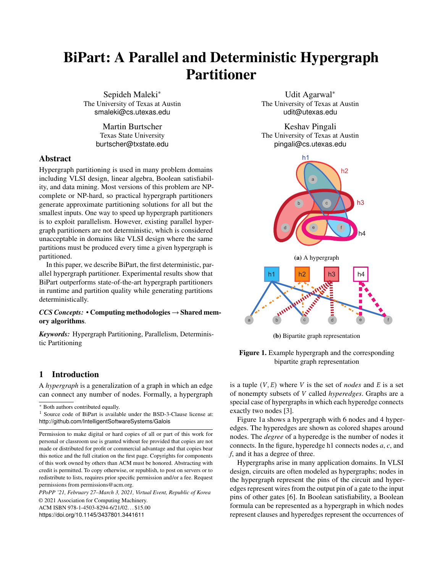## 1.2 BiPart

These limitations led us to design and implement BiPart, a parallel, deterministic hypergraph partitioner that can partition all the hypergraphs in our test suite in just a few seconds. This paper makes the following contributions.

- We describe BiPart, an open-source framework for parallel, *deterministic* hypergraph partitioning.
- We describe *application-level* mechanisms that ensure that partitioning is deterministic even though the runtime exploits don't-care nondeterminism for performance.
- We describe a novel strategy for parallelizing multiway partitioning.
- We show experimentally that BiPart outperforms existing hypergraph partitioners in either partition quality or running time, and usually outperforms them in both dimensions.

The rest of the paper is organized as follows. Section [2](#page-2-0) describes background and related work on hypergraph partitioning. Section [3](#page-3-0) describes BiPart, our deterministic parallel hypergraph partitioner. Section [4](#page-7-0) presents and analyzes the experimental results on a shared-memory NUMA machine. Section [5](#page-10-0) concludes the paper.

# <span id="page-2-0"></span>2 Prior Work on Graph and Hypergraph Partitioning

There is a large body of work on graph and hypergraph partitioners, so we discuss only the most closely related work in this section. It is useful to divide partitioners into *geometrybased partitioners* (Sec. 2.1) and *topology-based partitioners* (Sec. 2.2). *Multilevel partitioning*, discussed in Sec. 2.3, adds a different dimension to partitioning. BiPart uses a topologybased multilevel partitioning approach.

### <span id="page-2-1"></span>2.1 Geometry-based Partitioning

In some domains such as finite elements, the nodes of the graph are points in a metric space such as  $\mathbb{R}^d$ , so we can compute the distance between two nodes. The geometric notion of proximity of nodes can be used to partition the graph using techniques like k-nearest-neighbors (KNN) [\[29\]](#page-11-14). A sophisticated geometric partitioner was introduced by Miller, Teng, and Vavasis [\[28\]](#page-11-15). This partitioner stereographically projects nodes from  $\mathbb{R}^3$  to a sphere in  $\mathbb{R}^{3+1}$ . The sphere is bisected by a suitable great circle, creating the partitions, and the nodes are projected back to  $\mathbb{R}^3$  to obtain the partitions.

When there is no geometry associated with the nodes of a graph, *embedding techniques* can be used to map nodes to points in  $\mathbb{R}^3$  in ways that try to preserve proximity of nodes in the graph; geometry-based partitioners can then be used to partition the embedded graph.

One powerful but expensive embedding technique is based on computing the Fiedler vector of the Laplacian matrix of a

graph [\[13\]](#page-11-4). The Fiedler vector is the eigenvector corresponding to the second smallest eigenvalue of the Laplacian matrix. The Fiedler vector is a real vector (it can be considered an embedding of the nodes in  $\mathbb{R}^1$ ) and the signs of its entries can be used to determine how to partition the graph. Several *spectral partitioners* based on this idea were implemented and studied in the mid-90's [\[36\]](#page-12-3). They can produce good graph partitions since they take a global view of the graph, but they are not practical for large graphs.

Heuristic embedding techniques known as *node2vec* or *DeepWalk* are currently receiving a lot of attention in the machine-learning community [\[14,](#page-11-16) [33\]](#page-12-5). These techniques are based on random walks in the graph to estimate proximity among nodes, and these estimates are used to compute the embedding. Techniques like stochastic gradient descent (SGD) are employed to iteratively improve the embedding.

Unfortunately, all embedding techniques we know of are computationally intensive so they cannot be used for large graphs without geometry if partitioning is to be done quickly.

### <span id="page-2-2"></span>2.2 Topology-based Partitioning

In contrast to geometry-based partitioners, topology-based partitioners work only with the connectivity of nodes in the graph or hypergraph. These partitioners generally start with some heuristically chosen partitioning and then apply *local* refinements to improve the balance or the edge cut until a termination condition is reached.

Kernighan and Lin invented one of the first practical graph partitioners. An initial bipartition of the graph is obtained using a technique such as a breadth-first traversal of the graph, starting from an arbitrary node and terminating when half the nodes have been touched. Given such a partitioning of the graph that is well balanced, the algorithm (usually called the *KL* algorithm) attempts to reduce the cut by swapping pairs of nodes between the partitions until a termination criterion is met [\[24\]](#page-11-7).

Fiduccia and Mattheyses generalized this algorithm to hypergraphs (their algorithm is usually referred to as the *FM* algorithm) [\[12\]](#page-11-17). It starts by computing the gain values for each node, where gain refers to the change in the edge cut if a node were moved to the other partition. The algorithm executes in rounds; in each round, a subset of nodes are moved from their current partition to the other partition. A greedy algorithm is used to identify this subset: the node with the highest gain value is selected to be moved, the gain values of its neighbors are updated accordingly, and the process is repeated with the remaining unmoved nodes until all nodes are moved exactly once. At the end of every round, the algorithm picks the maximal prefix of these moves that results in the highest gain and moves the rest of the nodes back to their original partition. The overall algorithm terminates when no gain is achieved in the current round.

Experimental studies show that the quality of the partitions produced by these techniques depends critically on the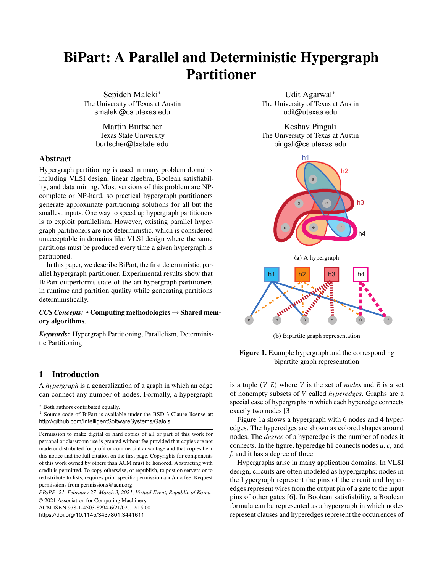quality of the initial partition. Intuitively, these algorithms perform local optimization, so they can improve the quality of a good initial partition but they cannot find a high quality partition if the initial partition is poor, since this requires global optimization.

### 2.3 Multilevel Graph Partitioning

Multilevel partitioning techniques attempt to *circumvent* the limitations of the algorithms described above rather than replace them with an entirely new algorithm. This approach was first explored for graphs [\[2,](#page-11-18) [5,](#page-11-19) [23\]](#page-11-6) and later extended to hypergraphs in the HMetis partitioner [\[22\]](#page-11-12). Since every graph is a hypergraph, we use the term *hypergraph* to include graphs in the rest of the paper.

Multilevel hypergraph partitioning consists of three phases: *coarsening*, *initial partitioning*, and *refinement*.

- *Coarsening*: For a given hypergraph  $G_5$ , a coarsened hypergraph  $G_2$  is created by merging pairs of nodes in  $G_5$ . We call  $G_2$  the coarsened hypergraph and  $G_5$ the fine-grained hypergraph. This process can be applied recursively to the coarsened hypergraph, creating a chain of hypergraphs in which the first hypergraph is the initial hypergraph and the final hypergraph is a coarsened hypergraph that meets some termination criterion (*e.g.*, its size is below some threshold).
- *Initial partitioning*: The coarsest hypergraph is partitioned using any of the techniques discussed in Sections [2.1](#page-2-1) and [2.2.](#page-2-2)
- *Refinement*: For each pair  $G_2$  and  $G_5$ , the partitioning of  $G_2$  is projected onto  $G_5$  and then refined, starting from the most coarsened hypergraph and finishing with the input hypergraph.

Various heuristics have been implemented for these three phases. For example, heavy-edge matching, where a node tries to merge with the neighbor with which it shares the heaviest weighted edge, is widely used in coarsening [\[23\]](#page-11-6). Techniques frequently used in refinement include swapping pairs of nodes from different partitions, as in the KL algorithm, or moving nodes from one partition to another, as in the FM algorithm. Most of these heuristics were designed for sequential implementations so they cannot be used directly in a parallel implementation.

## 2.4 Parallel Hypergraph Partitioning

Hypergraph partitioners should be parallelized to prevent them from becoming the performance bottleneck in hypergraph processing. Zoltan [\[11\]](#page-11-10) and Parkway [\[38\]](#page-12-6) are parallel hypergraph partitioners based on the multilevel scheme. HyperSwap [\[40\]](#page-12-7) is a distributed algorithm that partitions hyperedges instead of nodes. The Social Hash partitioner [\[20\]](#page-11-2) is another distributed partitioner for balanced k-way hypergraph partitioning.

One disadvantage of these parallel hypergraph partitioners is that their output is nondeterministic. For example, in the coarsening phase, it may be desirable to merge a given node  $V_1$ with either node  $V_2$  or node  $V_3$ . In a parallel implementation, slight variations in the internal timing between executions may result in choosing different nodes for merging, producing different partitions of the same input graph. However, many applications require deterministic partitioning, as discussed in Section [1.](#page-0-1)

#### 2.5 Ensuring Determinism

The problem of ensuring deterministic execution of parallel programs with don't-care nondeterminism has been studied at many abstraction levels. At the systems level, there has been a lot of work on ensuring that parallel threads communicate in a deterministic manner [\[9,](#page-11-20) [18,](#page-11-21) [21\]](#page-11-22). For many programs, this ensures deterministic output if the program is executed on the *same* number of threads in every run. However, it does not address our requirement that the output of the partitioner must be the same even if the number of threads on which it executes is *different* in different runs. Moreover, these solutions usually result in a substantial slowdown [\[9,](#page-11-20) [32\]](#page-12-8).

For nested task-parallel programs, an approach called *internal determinism* has been proposed to ensure that the program is executed in deterministic steps, thereby ensuring that the output is deterministic as well [\[4\]](#page-11-23). The Galois system solves the determinism problem in its task scheduler [\[32\]](#page-12-8), which finds independent sets of tasks in an implicitly constructed interference graph. To guarantee a deterministic schedule, the independent set must be selected in a deterministic fashion. This is achieved without building an explicit interference graph. The neighborhood items of a task are marked with the task ID, and ownership of neighborhood items with lower ID values are stolen during the marking process. An independent set is then constructed by selecting the tasks whose neighborhood locations are all marked with their own ID values.

Both these solutions guarantee that the output does not depend on the number of threads used to execute the program. However, our experiments showed that these generic, application-agnostic solutions are too heavyweight to partition real-world hypergraphs. We instead devise a lightweight *application-specific* technique for ensuring determinism with substantially less overhead as described in Section [3.](#page-3-0)

# <span id="page-3-0"></span>3 BiPart: A Deterministic Parallel Hypergraph Partitioner

This sections describes BiPart, our deterministic parallel multilevel hypergraph partitioner. BiPart produces a bipartition of the hypergraph, and it is used recursively on these partitions to produce the desired number of partitions.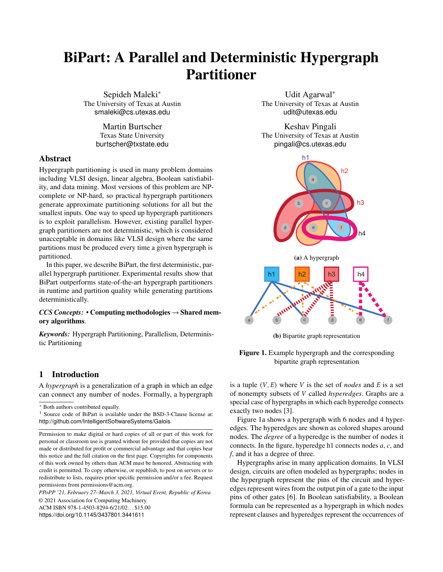24: parents.add(parent(node))

26:  $E \leftarrow coarseGraph.createHyperedge()$ 

25: if  $|parents|$  i 1 then

27:  $parent(headge) \leftarrow E$ 28: **for all**  $node \in parents$  **do** 29: includeNodeInEdge(E, node)

<span id="page-4-2"></span><span id="page-4-1"></span>

Figure 2. Multi-node coarsening: (a) a hypergraph with 3 hyperedges, h1, h2, and h3 (left). (b) multi-node matching matches nodes within a hypergraph (center). (c) merging matched nodes coarsen hypergraph (right).

<span id="page-4-0"></span>

| <b>Algorithm 1 Parallel Matching Policy</b>                                                                                                                                                                                                                                                 | <b>Algorithm 2 Parallel Coarsening</b>                                                                                                                                                                                                               |
|---------------------------------------------------------------------------------------------------------------------------------------------------------------------------------------------------------------------------------------------------------------------------------------------|------------------------------------------------------------------------------------------------------------------------------------------------------------------------------------------------------------------------------------------------------|
| Input: fineGraph, policy;<br>/* Initialize node priorities */<br>1: for all nodes node $\in$ fineGraph in parallel do<br>$node.printy \leftarrow \infty$<br>2:                                                                                                                              | Input: fineGraph, policy; Output: coarseGraph<br>1: Find a multi-node matching M of fineGraph using Al-<br>gorithm 1<br>/* Merge nodes of the finer graph */                                                                                         |
| $node.random \leftarrow \infty$<br>3:<br>node.hedgeid $\leftarrow \infty$<br>4:<br>/* Assign priorities based on the policy (e.g. low de-                                                                                                                                                   | 2: for all hyperedges hedge $\in$ fineGraph in parallel do<br>S: Set of nodes that are matched to hedge in M<br>3:<br>if $ S $ <i>j</i> 1 then<br>4:                                                                                                 |
| gree hyperedges) */<br>5: for all hyperedges hedge $\in$ fineGraph in parallel do<br>hedge.priority $\leftarrow$ degree(hedge)<br>6:<br>$hedge.random \leftarrow hash(hedge.id)$<br>7:                                                                                                      | Merge nodes in $S$<br>5:<br>$N:$ node in $S$ with lowest id<br>6:<br>for all $node \in S$ do<br>7:<br>$parent(node) \leftarrow N$<br>8:                                                                                                              |
| for node $\in$ hedge do<br>8:<br>$node.printy \leftarrow atomicMin(node.printy,$<br>9:<br>hedge.priority)<br>10:                                                                                                                                                                            | /* Merge singleton nodes with an already merged<br>node $*/$<br>9: for all hyperedges hedge $\in$ fineGraph in parallel do                                                                                                                           |
| /* Assign a second priority (hash of hedge id) */<br>11: for all hyperedges <i>hedge</i> $\in$ <i>fineGraph</i> in parallel do<br>for node $\in$ hedge do<br>12:<br><b>if</b> hedge.priority == node.priority <b>then</b><br>13:<br>$node.random \leftarrow atomicMin(node.random$ ,<br>14: | S: Set of nodes that are matched to hedge in M<br>10:<br>if $ S  = 1$ then<br>11:<br>$u:$ node in set S<br>12:<br><b>if</b> exists an already merged node $v \in \text{hedge}$ then<br>13:<br>$v$ : Merged node in hedge with smallest weight<br>14: |
| hedge.rand)<br>15:<br>/* Assign each node to its incident hyperedge with<br>highest priority */<br>16: for all hyperedges hedge $\in$ fineGraph in parallel do                                                                                                                              | Merge node $u$ with $v$<br>15:<br>$parent(u) \leftarrow parent(v)$<br>16:<br>/* Self merge singleton nodes */<br>else<br>17:                                                                                                                         |
| for node $\in$ hedge do<br>17:<br>if hedge.rand $==$ node.rand then<br>18:<br>$node.hedgeid \leftarrow atomicMin(node.hedgeid,$<br>19:<br>hedge.id)<br>20:                                                                                                                                  | Create new node u' in coarseGraph<br>18:<br>$parent(u) \leftarrow u'$<br>19:<br>/* Create hyperedges in the coarsened graph */                                                                                                                       |
| 3.1 Coarsening                                                                                                                                                                                                                                                                              | 20: for all hyperedges hedge $\in$ fineGraph in parallel do<br>$parents \leftarrow \emptyset$<br>21:<br>for all node $\in$ hedge do<br>22:<br>if parent (node) $\theta$ parents then<br>23:                                                          |

## 3.1 Coarsening

The goal of coarsening is to create a series of smaller hypergraphs until a small enough hypergraph is obtained that can be partitioned using a simple heuristic. Intuitively, coarsening finds nodes that should be assigned to the same partition and merges them to obtain a smaller hypergraph. However, it is important to reduce the size of hyperedges as well since this enables the subsequent refinement phase to be more effective (FM and related algorithms are most effective with small hyperedges).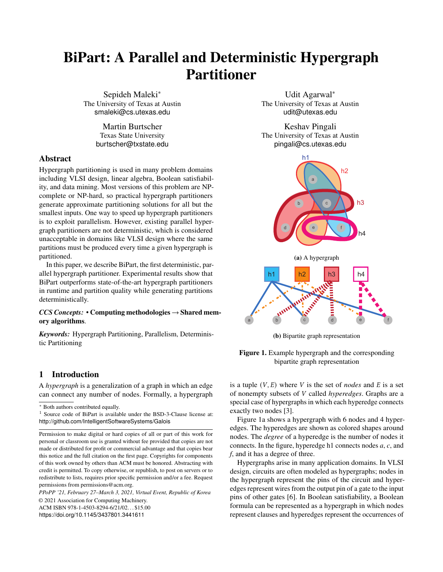<span id="page-5-0"></span>Table 1. Matching policies for multi-node matching

| <b>Policy</b> | <b>Policy Description</b>                             |
|---------------|-------------------------------------------------------|
| <b>LDH</b>    | Hyperedges with lower degree have higher priority     |
| <b>HDH</b>    | Hyperedges with higher degree have higher priority    |
| <b>LWD</b>    | Lower weight hyperedges have higher priority          |
| <b>HWD</b>    | Higher weight hyperedges have higher priority         |
| <b>RAND</b>   | Priority assigned by a deterministic hash of ID value |

Coarsening can be described using the idea of *matchings* from graph theory [\[3\]](#page-11-0).

- Hyperedge matching: A *hyperedge matching* of a hypergraph  $H$  is an independent set of hyperedges such that no two of them have a node in common. In Figure [1,](#page-0-0) {h3, h4} is a hyperedge matching.
- Node matching: A *node matching* of a hypergraph *H* is a set of node pairs  $(u, v)$ , where  $u$  and  $v$  belong to the same hyperedge such that no two pairs have a node in common. In Figure [1,](#page-0-0)  $\{(a,e), (b,c)\}\$ is a node matching.
- Multi-node matching: BiPart uses a modified version of node matching called *multi-node matching*, where instead of node pairs we have a partition of the nodes of  $H$  such that each node set in the partition contains nodes belonging to one hyperedge. In Figure [1,](#page-0-0) {(a,e),  $(b,c,d)$ ,  $(f)$  is a multi-node matching.

Coarsening can be performed by contracting nodes or hyperedges. In the *node coarsening* scheme, a node matching is first computed and the nodes in each node pair in the matching are then merged together. *Hyperedge coarsening* computes a hyperedge matching, and all nodes connected by a hyperedge in this matching are merged to form a single node in the coarsened hypergraph.

In contrast, BiPart uses multi-node matching, which has advantages over both node coarsening and hyperedge coarsening. A hyperedge disappears from a coarsened graph only after all its member nodes are merged into one node. In node coarsening, the number of hyperedges may stay roughly the same even after merging the nodes in the matching. Similarly in hyperedge coarsening, the hyperedge matching may have a very small size and may result in only a small reduction in the size of the hypergraph. The coarsening phase in BiPart consists of two parts: finding a multi-node matching and the coarsening algorithm.

<span id="page-5-1"></span>3.1.1 Finding a Multi-node Matching. Algorithm [1](#page-4-1) lists the pseudocode of multi-node matching. BiPart computes a multi-node matching in the following way: First, every hyperedge is assigned a priority based on a matching policy and a deterministic hash of its ID value (Lines [6](#page-4-0) - [7\)](#page-4-0). The matching policy can be based on the degree of the hyperedge, weight, etc. Table [1](#page-5-0) lists the available matching policies for BiPart. Every node is then assigned a piority value, which is the minimum across all its incident hyperedges (Lines [8-](#page-4-0) [10\)](#page-4-0). In case many hyperedges have identical degrees, every node is assigned a second priority value (Lines [11-15\)](#page-4-0) to reduce contention. Finally, every node matches itself to one of its incident hyperedges with the highest priority, e.g., the hyperedge with the lowest degree and with the lowest hashed value (in case the hyperedges have the same degree) (Lines [16-](#page-4-0) [20\)](#page-4-0). The nodes that are matched to the same hyperedge are then grouped together, resulting in a deterministic multi-node matching.

3.1.2 Coarsening Algorithm. Algorithm [2](#page-4-1) lists the pseudocode of a single phase of the coarsening algorithm used in BiPart. We perform this step repeatedly for at most *coarseTo* iterations (The default value used in BiPart for *coarseTo* is 25). Coarsening consists of two steps. First, BiPart merges all the nodes that are matched to the same hyperedge into a single node in the coarsened graph (Lines [2-8](#page-4-1) ). For optimization purposes, we ignore the singleton sets during the merge step in Lines [2-8](#page-4-1) and BiPart instead merges nodes in such sets with a neighbor node that has been merged in the previous step (Lines [11-16\)](#page-4-1).

Figure [2](#page-4-2) illustrates this on a hypergraph with nine nodes and three hyperedges h1, h2, and h3. In the first step, BiPart performs multi-node matching (priority is with the low degree hyperedges (LDH)), Figure [2](#page-4-2) (center). Figure [2](#page-4-2) (right) shows the result of this matching. The nodes in each of the disjoint sets in the matching are merged into a single node. Note that, since all nodes of hyperedges h1 and h3 are merged to a single node, we can remove those hyperedges and only h2 remains in the hypergraph.

3.1.3 Ensuring Determinism. A potential source of nondeterminism is Step [1](#page-4-1) in the coarsening phase, which finds a multi-node matching of the hypergraph. The approach presented in Section [3.1.1](#page-5-1) yields a deterministic multi-node matching. This matching is used to coarsen the graph deterministically.

In the Appendix, we analyze the parallel time complexity and the parallel work of our coarsening algorithm (Algorithm [2\)](#page-4-1) in the CREW PRAM model [\[19\]](#page-11-24).

#### 3.2 Initial Partitioning

<span id="page-5-2"></span>

| <b>Algorithm 3</b> Initial Partitioning Algorithm                        |
|--------------------------------------------------------------------------|
| <b>Input:</b> coarsest graph $G_G = (V_G, E_G)$                          |
| <b>Output:</b> Partitions $P_0$ and $P_1$ .                              |
| 1: $P_0 = \{\}; P_1 = V_G$                                               |
| 2: $n =  V_G $                                                           |
| 3: Compute move gain values for nodes in $P_1$ using Algorithm 4         |
| 4: while $ P_0 $ $\hat{Y} P_1 $ do                                       |
| 5: Pick $\sqrt{n}$ nodes from $P_1$ with highest gain values (break ties |
| using node ID) and move them to $P_0$ in parallel                        |
| Re-compute move gain values for nodes in $P_1$ using Algo-<br>6:         |
| rithm 4                                                                  |
|                                                                          |

The goal of this step is to obtain a good bipartition of the coarsest graph. There are many ways to accomplish this but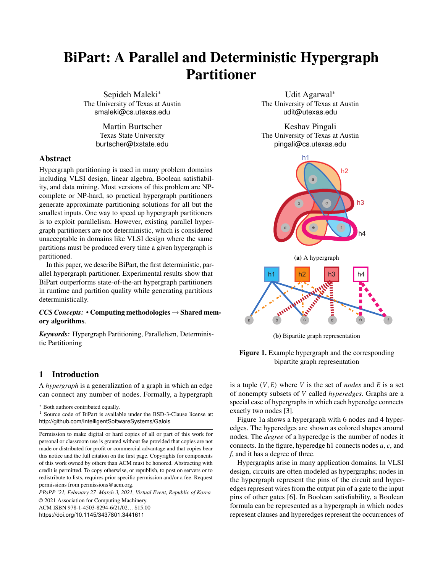the key idea in most algorithms is to maintain two sets of nodes  $P_0$  and  $P_1$  where  $P_0$  and  $P_1$  contain the nodes assigned to partitions 0 and 1, respectively. Iteratively, some nodes from  $P_1$  are selected and moved to  $P_0$  (assuming  $P_0$  is smaller than  $P_1$ ) until the balance condition is met.

The selection of nodes can be implemented in many ways. A simple approach is to do a breadth-first search (BFS) of the graph starting from some arbitrary vertex. In this approach, nodes on the BFS frontier are selected at each step for inclusion in the partition. The greedy graph-growing partitioning algorithm (GGGP) used in Metis maintains gain values for every node  $v$  in  $P_1$  (*i.e.*, the decrease in the edge cut if  $v$  is moved to the growing partition) and it always picks the node with the highest gain at each step and updates the gain values of the remaining nodes in  $P_1$ . However, this GGGP approach is inherently serial.

Instead, BiPart uses a more parallel approach to obtain an initial partition. The approach used in BiPart is the following. Like GGGP, we maintain gain values for nodes in  $P_1$ , but Like OOOT, we maintain gain values for hours in  $r_1$ , but<br>we pick the top  $\sqrt{n}$  nodes with the highest gain values in each step and move them to  $P_0$  (here *n* denotes the number of nodes in the coarsest graph). We then re-compute the gain values of all nodes in  $P_1$ . This gives us a good parallel algorithm for computing the initial partition. Algorithm [3](#page-5-2) lists the pseudocode.

Algorithm [4](#page-6-0) describes the pseudocode for computing move gain values. It is based on the approach used in the FM algorithm [\[12\]](#page-11-17).

<span id="page-6-0"></span>

|     | <b>Algorithm 4</b> Compute Move-Gain Values                               |
|-----|---------------------------------------------------------------------------|
|     | <b>Input:</b> Graph $G = (V, E)$ , $P_0$ and $P_1$ are the two partitions |
|     | 1: Initialize $Gain(u)$ to 0 for all $u \in V$ in parallel                |
|     | 2: for all hyperedges <i>hedge</i> $\in E$ in parallel do                 |
| 3:  | $n_0 \leftarrow$ number of nodes in $P_0 \cap$ hedge                      |
| 4:  | $n_1 \leftarrow$ number of nodes in $P_1 \cap hedge$                      |
| 5:  | <b>for</b> $u \in \text{hedge}$ <b>do</b>                                 |
| 6:  | $i \leftarrow$ partition of u                                             |
| 7:  | <b>if</b> $ng == 1$ then $\cdot u$ is the only node from $Pg$ in hedge    |
| 8:  | $Gain(u) \leftarrow Gain(u) + 1$                                          |
| 9:  | else if $n_{\beta} =  hedge $ then<br>• all nodes are in $P_8$            |
| 10: | $Gain(u) \leftarrow Gain(u) - 1$                                          |

3.2.1 Ensuring Determinism. In the initial partitioning phase, nondeterminism may be present in Line 5 of Algorithm [3](#page-5-2) where we need to pick a node  $v$  with highest gain value and there are multiple nodes with the same highest gain. To ensure determinism, BiPart again breaks ties using node IDs.

In the Appendix, we analyze the parallel time complexity and total work of Algorithms [3](#page-5-2) and [4](#page-6-0) in the CREW PRAM model.

#### 3.3 Refinement Phase

The third phase of the overall partitioning algorithm is the refinement phase. The goal of this phase is to improve on the bipartition obtained from the initial partitioning. This phase runs a refinement algorithm on the sequence of graphs obtained during the coarsening phase, starting from the coarsest graph and terminating at the original input graph. The FM refinement algorithm described in Section [2.2](#page-2-2) is inherently serial and cannot be used for large graphs as it is, since it needs to make individual moves for every node in every pass. Our refinement algorithm, in contrast, makes parallel node moves, thus speeding up the process. However, this approach may result in a poor edge cut since it does not choose the best prefix of moves, unlike the FM algorithm. We address this issue by ensuring that we only move nodes with high or positive gain values.

Another major difference in our refinement algorithm is that we do not consider the weight of the nodes when making these moves. This helps in speeding up the algorithm but may result in an unbalanced partition. We resolve this possible issue by running a separate balancing algorithm after the refinement. Algorithm [5](#page-6-1) provides the pseudocode of our refinement approach. The input to the algorithm is an integer *iter* that specifies the number of rounds of refinement to be performed; a larger number of rounds may improve partition quality at the cost of extra running time (The default value used in BiPart for *iter* is 2).

## <span id="page-6-1"></span>Algorithm 5 Refinement Algorithm

- **Input:** *iter*: refinement iterations; Partitions  $P_0$  and  $P_1$
- 1: Initialization: Project bipartition from coarsened graph
- 2: for *iter* iterations do
- 3: Compute move gain values for all nodes using Algo [4](#page-6-0)
- 4:  $L_0 \leftarrow$  nodes in  $P_0$  with gain value  $\geq 0$ <br>5:  $L_1 \leftarrow$  nodes in  $P_1$  with gain value  $\geq 0$
- $L_1$  ← nodes in  $P_1$  with gain value ≥ 0
- 6: Sort nodes in  $L_0$  and  $L_1$  with gain value as the key (break ties using node IDs)
- 7:  $l_{\leq \theta} \leftarrow \min{(|L_0|, |L_1|)}$
- 8: Swap  $l_{\leq \theta}$  nodes with highest gain values between partitions  $P_0$  and  $P_1$  in parallel
- 9: Check if the balance criterion is satisfied. Otherwise, move highest gain nodes from the higher weighted partition to the other partition, using a variant of Algorithm [3.](#page-5-2)

3.3.1 Ensuring Determinism. In the refinement phase, the only step with potential nondeterminism is Line [6,](#page-6-1) in which we create a sorted ordering of the nodes based on their gain values, since there can be multiple nodes with the same gain. BiPart breaks ties between such nodes using their IDs.

In the Appendix, we analyze the parallel time complexity and total work of Algorithm [5](#page-6-1) in the CREW PRAM model.

#### <span id="page-6-2"></span>3.4 Tuning Parameters

Multilevel hypergraph partitioning algorithms like BiPart have a number of tuning parameters whose values can affect the quality and runtime of the partitioning. For BiPart, the three most important tuning parameters are the following.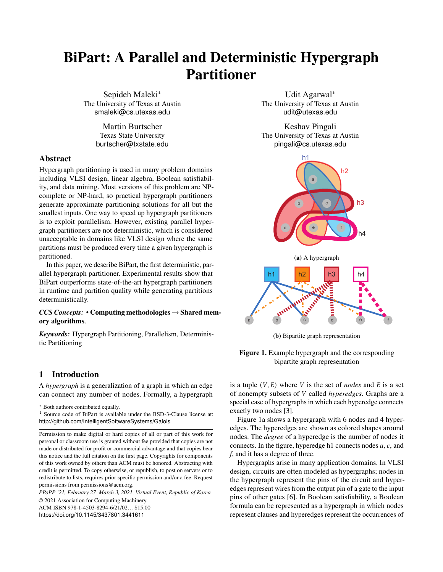The first tuning parameter controls the maximum number of levels of coarsening to be performed before the initial partitioning. Most hypergraph partitioners coarsen the hypergraph until the coarsest hypergraph is very small (*e.g.*, PaToH [\[7\]](#page-11-3) terminates its coarsening phase when the size of the coarsened hypergraph falls below 100). Although one would expect more coarsening steps to produce a better partitioning, this is not always the case. For some hypergraphs, we end up with heavily weighted nodes (the weight is the number of merged nodes represented by that node) and processing such nodes in the refinement phase is expensive since they can cause balance problems. In Section [4,](#page-7-0) we study the performance impact of terminating the coarsening phase at different levels. The default value used in BiPart is 25.

The second tuning parameter controls the iteration count in the refinement phase. To obtain the best solution, we can run the refinement until convergence (*i.e.*, until the edge cut does not change anymore). However, this strategy is very slow and thus infeasible for large hypergraphs, which are the focus of this work. BiPart, by default, uses only 2 refinement iterations.

The final tuning parameter is selecting a matching policy for finding a multi-node matching in a hypergraph. Table [1](#page-5-0) shows the different matching policies available in BiPart. Some of these policies are based on hyperedge degrees or on the weight of the hyperedge. More policies can be added to the framework by the user. The best choice for the policy depends on the structure of the graph, and different policies can result in different partitioning quality as well as different convergence rates. For the experimental results in Section [4,](#page-7-0) we used LDH, HDH, or RAND, depending on the input hypergraph.

BiPart exposes these tuning parameters to the application developer but also provides default values for use by novices. Section [4](#page-7-0) studies the effect of changing these parameters.

### 3.5 Parallel Strategy for Multiway Partitioning

Multiway partitioning for obtaining  $k$  partitions can be performed in two ways: direct partitioning and recursive bisection. In direct partitioning, the hypergraph obtained after coarsening is divided into  $k$  partitions and these partitions are refined during the refinement phase. Recursive bisection uses a divide-and-conquer approach by recursively creating bipartitions until the desired number of partitions is obtained.

In this paper, we present a novel *nested k*-*way* approach for obtaining  $k$  partitions. At each level of the divide-and-conquer tree, we apply the three phases of multilevel partitioning to *all* the subgraphs at that level. Intuitively, the divide-and-conquer tree is processed level-by-level, and each phase of the multilevel partitioning algorithm is applied to all the subgraphs at the current level. Algorithm [6](#page-7-1) presents the pseudocode of our *nested -way* approach.

This algorithm allows us to run the parallel loops over the entire edge list of the original hypergraph instead of running

<span id="page-7-1"></span>

|    | <b>Algorithm 6</b> Nested $k$ -Way Algorithm                               |
|----|----------------------------------------------------------------------------|
|    | Input: $k$                                                                 |
|    | 1: for level $l = 1$ to $\lceil \log k \rceil$ iterations do               |
| 2: | Construct subgraphs $G_1, G_2, \ldots, G_\ell$ (where $i = 2^{i-1}$ ) such |
|    | that $G_{\ell}$ contains nodes that are in partition j                     |
| 3: | Coarsen $(G_1, G_2, \ldots, G_8)$                                          |
| 4: | Partition $(G_1, G_2, \ldots, G_\ell)$                                     |
| 5: | <i>Refine</i> $(G_1, G_2, , G_8)$                                          |

them over edge lists for each subgraph separately, which yields a significant reduction of the overall running time. In Section [4.4,](#page-9-0) we present experimental results for obtaining  $k$ partitions using this approach.

## <span id="page-7-0"></span>4 Experiments

We implement BiPart in the Galois 6.0 system, compiled with  $g++8.1$  and boost 1.67 [\[25\]](#page-11-25). Galois is a library of data structures and a runtime system that exploits parallelism in irregular graph algorithms expressed in C++ [\[31,](#page-12-9) [34\]](#page-12-10).

Table [2](#page-8-0) describes the 11 hypergraphs that we use in our experiments. The hypergraphs WB, NLPK, Webbase, Sat14, and RM07R are from the SuiteSparse Matrix Collection [\[8\]](#page-11-26), Xyce and Circuit1 are netlists from Sandia Laboratories [\[11\]](#page-11-10), Leon is a hypergraph derived from a netlist from the University of Utah, and IBM18 is from the ISPD 98 VLSI Circuit Benchmark Suite. Random-10M and Random-15M are two hypergraphs that we synthetically generated for the experiments.

All experiments are done on a machine running CentOS 7 with 4 sockets of 14-core Intel Xeon Gold 5120 CPUs at 2.2 GHz, and 187 GB of RAM in which there are 65,536 huge pages, each of which has a size of 2 MB.

We benchmarked BiPart against three third-party partitioners: (i) Zoltan 3.83 (Zoltan is designed to work in a distributed environment; for our experiments, we run Zoltan with MPI in a multi-threaded configuration), (ii) KaHyPar (direct k-way partitioning setting), the state-of-the-art partitioner for highquality partitioning, and (iii) HYPE, a recent serial, singlelevel bipartitioner [\[27\]](#page-11-27). Zoltan and KaHyPar were described in Section [2.](#page-2-0)

The balance ratio for these experiments is 55:45. Since Zoltan is nondeterministic, the runtime and quality we report is the average of three runs. BiPart numbers are obtained using the configuration discussed in Section [3.](#page-3-0)

## 4.1 Comparison with Other Partitioners

Table [3](#page-9-1) compares BiPart results with those obtained by running Zoltan, KaHyPar and HYPE. BiPart is executed on 14 threads, and Zoltan is executed on 14 processes, while KaHy-Par, and HYPE are executed on a single thread since they are serial codes.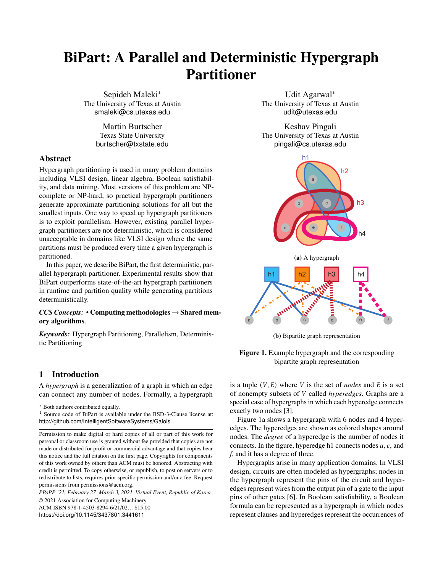<span id="page-8-0"></span>

|                   | Hypergraph   | <b>B</b> ipartite |               |
|-------------------|--------------|-------------------|---------------|
|                   |              | Representation    |               |
| <b>Name</b>       | <b>Nodes</b> | <b>Hyperedges</b> | <b>Edges</b>  |
| Random-15M        | 15,000,000   | 17,000,000        | 280, 605, 072 |
| Random-10M        | 10,000,000   | 10,000,000        | 115, 022, 203 |
| WB                | 9, 845, 725  | 6, 920, 306       | 57, 156, 537  |
| <b>NLPK</b>       | 3, 542, 400  | 3, 542, 400       | 96, 845, 792  |
| Xvce              | 1, 945, 099  | 1, 945, 099       | 9, 455, 545   |
| Circuit1          | 1,886,296    | 1,886,296         | 8, 875, 968   |
| Webbase           | 1,000,005    | 1,000,005         | 3, 105, 536   |
| Leon              | 1,088,535    | 800, 848          | 3, 105, 536   |
| Sat <sub>14</sub> | 13, 378, 010 | 521, 147          | 39, 203, 144  |
| <b>RM07R</b>      | 381,689      | 381,689           | 37, 464, 962  |
| <b>IBM18</b>      | 210, 613     | 201, 920          | 819,697       |

Table 2. Benchmark Characteristics

KaHyPar produces high-quality partitions but it took more than 1800 seconds to partition large graphs such as Random-10M, Random-15M, webbase, and Sat14. For the hypergraphs that KaHyPar can partition successfully, BiPart is always faster but worse in quality. HYPE runs on all inputs but the execution time and the quality of the partitions are always worse than BiPart.

Zoltan was able to partition all the hypergraphs in our test suite except for the largest hypergraph, Random-15M. For the three largest hypergraphs Random-10M, NLPK and WB, BiPart is roughly 4X faster than Zoltan while producing partitions of comparable quality. We also compared our results with other hypergraph partitioners, such as PaToH [\[7\]](#page-11-3) and HMetis [\[22\]](#page-11-12). We observed that the parallel execution time of BiPart is better than HMetis's and PaToH's serial time on large inputs. Since the source code for these partitioners is not available and due to the space constraints, we do not list those results here. We did not compare our results with Parkway since it frequently produces segfaults.

<span id="page-8-1"></span>

Figure 3. Strong scaling of BiPart

#### 4.2 Scalability

Figure [3](#page-8-1) shows the strong scaling performance of BiPart. For the largest graphs Random-10M and Random-15M, BiPart scales up to 6X with 14 threads. Scaling is limited for the smaller hypergraphs like Webbase, Sat14 and Leon since they contain a small number of hyperedges.

<span id="page-8-2"></span>

Figure 4. Runtime breakdown for BiPart on 1 thread and 14 threads.

Figure [4](#page-8-2) shows the breakdown of the time taken by the three phases in BiPart on 1 and 14 threads, respectively. For both single thread and 14 threads, the coarsening phase takes the majority of the time for all hypergraphs.

The coarsening and refinement phases of BiPart scale similarly. The end-to-end parallel performance of BiPart can be improved by limiting the number of levels for the coarsening phase and by a better implementation of the refinement phase. We also see a significant change in the slopes of all the scaling lines when the number of cores is increased from 7 to 8 as well as from 14 to 15. On this machine, each socket has 7 cores so the change in slope arises from NUMA effects. Improving NUMA locality is another avenue for improving the performance of BiPart.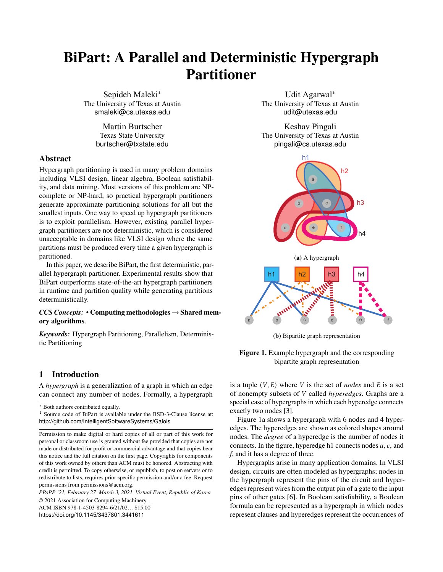<span id="page-9-1"></span>

|               | BiPart(14)  |            | Zoltan $(14)$ |           | HYPE(1)     |              | KaHyPar (1) |          |
|---------------|-------------|------------|---------------|-----------|-------------|--------------|-------------|----------|
| <b>Inputs</b> | <b>Time</b> | Edge cut   | Time          | Edge cut  | <b>Time</b> | Edge cut     | <b>Time</b> | Edge cut |
| Random-15M    | 85.4        | 13,968,401 |               | -         | 1,800       | 15, 628, 206 | > 1,800     |          |
| Random-10M    | 35.2        | 7,588,493  | 133.6         | 8,206,642 | 1,800       | 8, 816, 800  | > 1,800     |          |
| <b>WB</b>     | 7.9         | 13,853     | 31.4          | 35,212    | 42.2        | 819,661      | 581.5       | 11,457   |
| <b>NLPK</b>   | 5.8         | 98,010     | 27.6          | 76,987    | 58.8        | 651,396      | 784.3       | 59,205   |
| Xvce          | 1.3         | 1.134      | 4.1           | 1,190     | 11.8        | 549,364      | 412.4       | 420      |
| Circuit1      | 0.7         | 3,439      | 4.2           | 2,314     | 10.9        | 371,700      | 524.1       | 2,171    |
| Webbase       | 0.3         | 624        | 1.2           | 1,645     | 2.4         | 455,492      | > 1,800     |          |
| Leon          | 0.9         | 112        | 5.4           | 81        | 3.8         | 32460        | 354.6       | 59       |
| Sat14         | 7.6         | 15.394     | 44.3          | 5,748     | 61.3        | 524317       | > 1,800     |          |
| <b>RM07R</b>  | 0.8         | 22,350     | 3.9           | 56.296    | 19.1        | 151,570      | 880.0       | 17,532   |
| <b>IBM18</b>  | 0.2         | 2,669      | 0.4           | 2,462     | 1.0         | 52,779       | 453.9       | 1,915    |

Table 3. Performance of hypergraph partitioners (time is measured in seconds)

## 4.3 Design-Space Exploration of Parameter Space

In this section, we discuss the effect of important tuning parameters on BiPart. The important parameters we explore are the following: the number of coarsening levels, the number of refinement iterations, and the matching policy. These parameters are described in detail in Section [3.4.](#page-6-2)

One benefit of having a deterministic system is that we can perform a relatively simple design space exploration to understand how running time and quality change with parameter settings. In this section, we discuss how the choice of these settings affects the edge cut and running time.

Figure [5](#page-10-1) shows a sweep of the parameter space for the two hypergraphs WB and Xyce. Points corresponding to different matching policies are given different shapes; for example, triangles represent points for the LDH policy. While there are many points, we are most interested in those that are on the Pareto frontier. As mentioned in Section [3,](#page-3-0) the default settings for BiPart is to perform coarsening for at most 25 coarsening levels or as much as possible until there is no change in the size of the coarsened graph and to do two iterations of refinement per level. The BiPart points for this default setting are shown as large circles and triangles (blue in color), and we see that they both lie close to the Pareto frontier. Zoltan points are shown as black *X* marks; for WB, the point is far from the Pareto frontier while for Xyce, the point is on the Pareto frontier but takes much more time for a small improvement in quality.

As for the matching policy for finding a multi-node matching in the coarsening phase, there is no single policy that works best for all inputs. LDH and HDH usually dominate other policies. LWD, which has been used in HMetis, does not perform well and does not generate a point on the Pareto frontier, so it should be deprecated.

Table [4](#page-10-2) shows the running time and quality for the default settings, for the settings that give the best quality, and for the settings that give the best running time. The default setting for BiPart is to do two iterations of refinement per level and at most 25 levels of coarsening. For the matching policy, we do not have a fixed matching policy for all graphs but it is a combination of RAND, LD, and HDH. For all hypergraphs, the point corresponding to the default setting for BiPart either lies somewhere in between the two extreme points on the Pareto frontier or lies near the Pareto frontier. We also observed that there is no unique parameter setting that guarantees for all hypergraphs that the corresponding point lies on the Pareto frontier.

## <span id="page-9-0"></span>4.4 Multiway Partitioning Performance

Figure [6](#page-10-3) shows the scaled execution time of BiPart for multiway partitioning of the two hypergraphs Xyce and WB. For both hypergraphs, the execution times are scaled by the time taken to create 2 partitions. If  $k$  is the number of partitions to be created, the critical path through the computation increases as  $O(log_2(k))$ . The experimental results shown in Figure [6](#page-10-3) follow this trend roughly.

Tables [5](#page-10-4) and [6](#page-10-5) show the performance of BiPart and the current state-of-the-art hypergraph partitioner, KaHyPar, for multiway partitioning of a small graph IBM18 (Table [5\)](#page-10-4) and a large graph WB (Table [6\)](#page-10-5). We do not compare our results with Zoltan for  $k$ -way since their result is not deterministic. BiPart is much faster than KaHyPar; for example, KaHyPar times out after 30 minutes when creating 4 partitions of WB (9.8M nodes, 6.9M hyperedges), whereas BiPart can create 16 partitions of this hypergraph in just 20 seconds. However, when KaHyPar terminates in a reasonable time, it produces partitions with a better edge cut (for IBM18, the edge cut is on average 2.5X better).

We conclude that there is a tradeoff between BiPart and KaHyPar in terms of the total running time and the edge cut quality. As shown in Tables [5](#page-10-4) and [6,](#page-10-5) BiPart may be better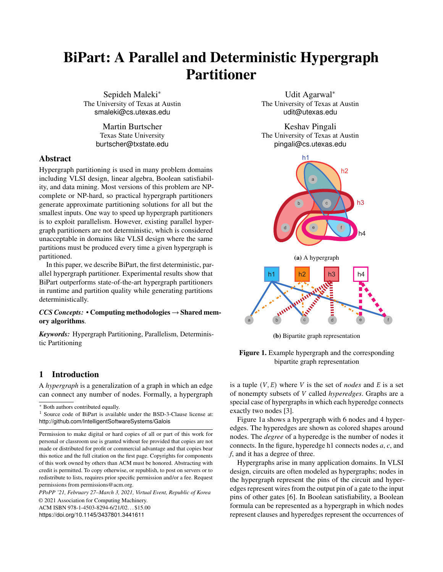<span id="page-10-2"></span>

|              | <b>Recommended</b>    |            | <b>Best Edge Cut</b> |            | <b>Best Runtime</b> |            |
|--------------|-----------------------|------------|----------------------|------------|---------------------|------------|
| Graph        | EdgeCut<br>Time (sec) |            | Time (sec)           | EdgeCut    | Time (sec)          | EdgeCut    |
| Random-15M   | 85.4                  | 13,968,401 | 71.4                 | 13,960,994 | 60.7                | 14,000,612 |
| Random-10M   | 35.2                  | 7,588,493  | 35.3                 | 7,581,745  | 31.4                | 7,618,589  |
| <b>WB</b>    | 7.9                   | 13.853     | 15.2                 | 10.773     | 6.2                 | 15,904     |
| <b>NLPK</b>  | 5.8                   | 98,010     | 5.8                  | 88,239     | 4.5                 | 121,249    |
| Xvce         | 1.3                   | 1,134      | 1.3                  | 1,134      | 0.9                 | 5,124      |
| Circuit1     | 0.7                   | 3,439      | 1.1                  | 3,408      | 0.5                 | 5,717      |
| Webbase      | 0.3                   | 624        | 0.4                  | 587        | 0.3                 | 622        |
| Leon         | 0.9                   | 112        | 2.1                  | 60         | 1.5                 | 184        |
| Sat14        | 7.6                   | 15,394     | 9.7                  | 13,833     | 2.4                 | 155,325    |
| <b>RM07R</b> | 0.8                   | 22,350     | 0.9                  | 21,601     | 0.6                 | 30,207     |



<span id="page-10-1"></span>

Figure 5. Design space for various tuning parameters for the two largest hypergraphs, WB (top) and Xyce (bottom); the Pareto frontier is shown for both hypergraphs

<span id="page-10-4"></span>Table 5. Performance of BiPart and KaHyPar for k-way partitioning of the IBM18 hypergraph (time in seconds)

|    |               | BiPart(14) | KaHyPar(1)  |          |  |
|----|---------------|------------|-------------|----------|--|
| k  | <b>Time</b>   | Edge cut   | <b>Time</b> | Edge cut |  |
| 2  | $0.2^{\circ}$ | 2,385      | 453.9       | 1,915    |  |
| 4  | 0.5           | 5,836      | 425.0       | 2,926    |  |
| 8  | 1.0           | 11,522     | 288.0       | 4,822    |  |
| 16 | 1.6           | 19,116     | 299.5       | 8,560    |  |

suited than KaHyPar for creating a large number of partitions of large graphs while maintaining determinism.

<span id="page-10-5"></span>Table 6. Performance of BiPart and KaHyPar for k-way partitioning of the WB hypergraph (time in seconds)

|                |                         | BiPart $(14)$ | KaHyPar(1)  |          |  |
|----------------|-------------------------|---------------|-------------|----------|--|
| k              | <b>Time</b><br>Edge cut |               | <b>Time</b> | Edge cut |  |
| $\mathfrak{D}$ | 7.9                     | 13,853        | 581.5       | 11,457   |  |
| $\overline{4}$ | 14.7                    | 100,380       | 1,800       |          |  |
| 8              | 17.5                    | 185,079       | 1,800       |          |  |
| 16             | 20.0                    | 269,144       | 1,800       |          |  |

<span id="page-10-3"></span>

Figure 6. BiPart execution time for k-way partitioning

# <span id="page-10-0"></span>5 Conclusion and Future Work

We describe BiPart, a fully deterministic parallel hypergraph partitioner, and show that it significantly outperforms KaHy-Par, the state-of-the-art hypergraph partitioner, in running time, albeit with lower edge-cut quality, for all inputs in our test suite. On some large graphs, which BiPart can process in less than a minute, KaHyPar takes over an hour to perform multiway partitioning.

In future work, we want to explore whether we can classify hypergraphs based on features such as the average node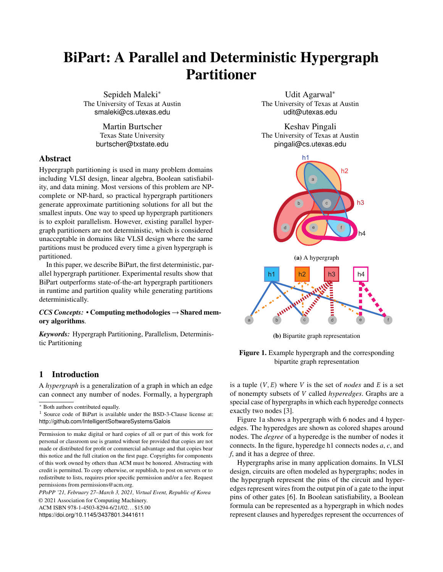degree and the number of connected components to come up with optimal parameter settings and scheduling policies for a given hypergraph. We are also looking into ways to improve NUMA locality for better performance. Extending this work to distributed-memory machines might be useful for very large hypergraphs that do not fit in the memory of a single machine [\[17\]](#page-11-28).

## Acknowledgments

We would like to thank the anonymous reviewers for their insightful feedback, Josh Vekhter for his feedback and help with the figures, Yi-Shan Lu for contributing to the initial paper, and Hochan Lee and Gurbinder Gill for optimizing the Bi-Part code. This material is based upon work supported by the Defense Advanced Research Projects Agency under award number DARPA HR001117S0054 and NSF grants 1618425, 1705092, and 1725322. Any opinions, findings, and conclusions or recommendations expressed in this material are those of the authors and do not necessarily reflect the views of either the Defense Advanced Research Projects Agency or NSF.

## References

- <span id="page-11-8"></span>[1] Konstantin Andreev and Harald Räcke. 2004. Balanced Graph Partitioning. In *Proceedings of the Sixteenth Annual ACM Symposium on Parallelism in Algorithms and Architectures* (Barcelona, Spain) *(SPAA '04)*. ACM, New York, NY, USA, 120–124. [https://doi.org/10.1145/](https://doi.org/10.1145/1007912.1007931) [1007912.1007931](https://doi.org/10.1145/1007912.1007931)
- <span id="page-11-18"></span>[2] Stephen Barnard and Horst Simon. 1993. A Fast Multilevel Implementation of Recursive Spectral Bisection for Partitioning Unstructured Problems. 711–718.
- <span id="page-11-0"></span>[3] C. Berge. 1973. *Graphs and Hypergraphs*. Amsterdam. [https://books.](https://books.google.com/books?id=X32GlVfqXjsC) [google.com/books?id=X32GlVfqXjsC](https://books.google.com/books?id=X32GlVfqXjsC)
- <span id="page-11-23"></span>[4] Guy E Blelloch, Jeremy T Fineman, Phillip B Gibbons, and Julian Shun. 2012. Internally Deterministic Parallel Algorithms Can be Fast. In *Proceedings of the 17th ACM SIGPLAN symposium on Principles and Practice of Parallel Programming*. 181–192.
- <span id="page-11-19"></span>[5] T N Bui and C Jones. 1993. A Heuristic for Reducing Fill-in in Sparse Matrix Factorization. (12 1993).
- <span id="page-11-1"></span>[6] Andrew E. Caldwell, Andrew B. Kahng, Andrew A. Kennings, and Igor L. Markov. 1999. Hypergraph Partitioning for VLSI CAD: Methodology for Heuristic Development, Experimentation and Reporting. In *Proc. ACM/IEEE Design Automation Conf. (DAC 99), ACM*. Press, 349–354.
- <span id="page-11-3"></span>[7] Ümit Çatalyürek and Cevdet Aykanat. 2011. *PaToH (Partitioning Tool for Hypergraphs)*. Springer US, Boston, MA, 1479–1487.
- <span id="page-11-26"></span>[8] Timothy A Davis and Yifan Hu. 2011. The University of Florida sparse matrix collection. *ACM Transactions on Mathematical Software (TOMS)* 38, 1 (2011), 1.
- <span id="page-11-20"></span>[9] Joseph Devietti, Jacob Nelson, Tom Bergan, Luis Ceze, and Dan Grossman. 2011. RCDC: A Relaxed Consistency Deterministic Computer. *ACM SIGARCH Computer Architecture News* 39, 1 (2011), 67–78.
- <span id="page-11-9"></span>[10] Karen D. Devine, Erik G. Boman, Robert T. Heaphy, Rob H. Bisseling, and Umit V. Catalyurek. 2006. Parallel Hypergraph Partitioning for Scientific Computing. In *Proceedings of the 20th International Conference on Parallel and Distributed Processing* (Rhodes Island, Greece) *(IPDPS'06)*. IEEE Computer Society, Washington, DC, USA, 124–124. <http://dl.acm.org/citation.cfm?id=1898953.1899056>
- <span id="page-11-10"></span>[11] Karen D. Devine, Erik G. Boman, Robert T. Heaphy, Rob H. Bisseling, and Umit V. Catalyurek. 2006. Parallel Hypergraph Partitioning for Scientific Computing. IEEE.
- <span id="page-11-17"></span>[12] C. M. Fiduccia and R. M. Mattheyses. 1982. A Linear-Time Heuristic for Improving Network Partitions. In *19th Design Automation Conference*. 175–181.
- <span id="page-11-4"></span>[13] M. Fiedler. 1973. Algebraic Connectivity of Graphs. *Czech. Math. J.* 23 (1973), 298–305.
- <span id="page-11-16"></span>[14] Aditya Grover and Jure Leskovec. 2016. node2vec: Scalable Feature Learning for Networks. In *Proceedings of the 22nd ACM SIGKDD international conference on Knowledge discovery and data mining*. 855–864.
- <span id="page-11-5"></span>[15] Bruce Hendrickson, Bruce Hendrickson, and Robert Leland. 1995. A Multilevel Algorithm for Partitioning Graphs. In *Proceedings of the 1995 ACM/IEEE Conference on Supercomputing* (San Diego, California, USA) *(Supercomputing '95)*. ACM, New York, NY, USA, Article 28. <https://doi.org/10.1145/224170.224228>
- <span id="page-11-11"></span>[16] Tobias Heuer, Peter Sanders, and Sebastian Schlag. 2019. Network Flow-Based Refinement for Multilevel Hypergraph Partitioning. *ACM J. Exp. Algorithmics* 24, 1, Article 2.3 (Sept. 2019), 36 pages. [https:](https://doi.org/10.1145/3329872) [//doi.org/10.1145/3329872](https://doi.org/10.1145/3329872)
- <span id="page-11-28"></span>[17] L. Hoang, R. Dathathri, G. Gill, and K. Pingali. 2019. CuSP: A Customizable Streaming Edge Partitioner for Distributed Graph Analytics. In *2019 IEEE International Parallel and Distributed Processing Symposium (IPDPS)*. 439–450. [https://doi.org/10.1109/IPDPS.2019.](https://doi.org/10.1109/IPDPS.2019.00054) [00054](https://doi.org/10.1109/IPDPS.2019.00054)
- <span id="page-11-21"></span>[18] Derek R Hower, Polina Dudnik, Mark D Hill, and David A Wood. 2011. Calvin: Deterministic or Not? Free Will to Choose. In *2011 IEEE 17th International Symposium on High Performance Computer Architecture*. IEEE, 333–334.
- <span id="page-11-24"></span>[19] Joseph JáJá. 1992. *An Introduction to Parallel Algorithms*. Reading, MA: Addison-Wesley.
- <span id="page-11-2"></span>[20] Igor Kabiljo, Brian Karrer, Mayank Pundir, Sergey Pupyrev, and Alon Shalita. 2017. Social Hash Partitioner: A Scalable Distributed Hypergraph Partitioner. *Proc. VLDB Endow.* 10, 11 (Aug. 2017), 1418–1429. <https://doi.org/10.14778/3137628.3137650>
- <span id="page-11-22"></span>[21] Tim Kaler, William Hasenplaugh, Tao B Schardl, and Charles E Leiserson. 2016. Executing Dynamic Data-graph Computations Deterministically Using Chromatic Scheduling. *ACM Transactions on Parallel Computing (TOPC)* 3, 1 (2016), 1–31.
- <span id="page-11-12"></span>[22] George Karypis, Rajat Aggarwal, Vipin Kumar, and Shashi Shekhar. 1999. Multilevel Hypergraph Partitioning: Applications in VLSI Domain. *IEEE Trans. Very Large Scale Integr. Syst.* 7, 1 (March 1999), 69–79.
- <span id="page-11-6"></span>[23] George Karypis and Vipin Kumar. 1998. A Fast and High Quality Multilevel Scheme for Partitioning Irregular Graphs. *SIAM J. Sci. Comput.* 20, 1 (Dec. 1998), 359–392.
- <span id="page-11-7"></span>[24] B. W. Kernighan and S. Lin. 1970. An efficient heuristic procedure for partitioning graphs. *The Bell System Technical Journal* 49, 2 (Feb 1970), 291–307.
- <span id="page-11-25"></span>[25] Boost library. [n.d.]. *Boost C++ Libraries*. [https://www.boost.org/](https://www.boost.org/users/history/version_1_67_0.html) users/history/version 1\_67\_0.html
- <span id="page-11-13"></span>[26] Sepideh Maleki and Martin Burtscher. 2018. Automatic Hierarchical Parallelization of Linear Recurrences. *SIGPLAN Not.* 53, 2 (March 2018), 128–138. <https://doi.org/10.1145/3296957.3173168>
- <span id="page-11-27"></span>[27] Christian Mayer, Ruben Mayer, Sukanya Bhowmik, Lukas Epple, and Kurt Rothermel. 2018. HYPE: Massive Hypergraph Partitioning with Neighborhood Expansion. *CoRR* abs/1810.11319 (2018). arXiv[:1810.11319](https://arxiv.org/abs/1810.11319)
- <span id="page-11-15"></span>[28] Gary L. Miller, Shang-Hua Teng, and Stephen A. Vavasis. 1991. A Unified Geometric Approach to Graph Separators. In *Proceedings of the 32nd Annual Symposium on Foundations of Computer Science (SFCS '91)*. IEEE Computer Society, USA, 538–547. [https://doi.org/](https://doi.org/10.1109/SFCS.1991.185417) [10.1109/SFCS.1991.185417](https://doi.org/10.1109/SFCS.1991.185417)
- <span id="page-11-14"></span>[29] T.M. Mitchell. 1997. *Machine Learning*. McGraw-Hill. [https://books.](https://books.google.com/books?id=EoYBngEACAAJ) [google.com/books?id=EoYBngEACAAJ](https://books.google.com/books?id=EoYBngEACAAJ)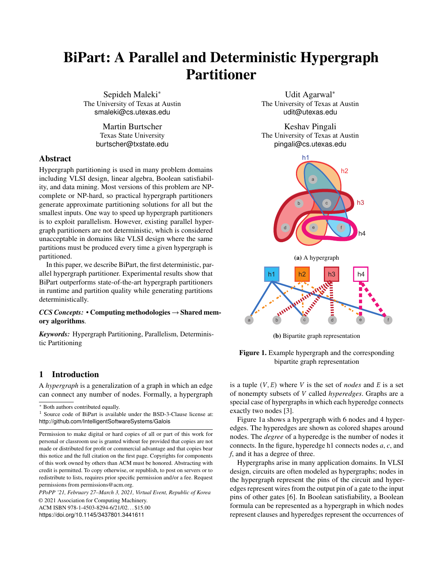- <span id="page-12-2"></span>[30] W. Lau Neto, M. Austin, S. Temple, L. Amaru, X. Tang, and P.-E. Gaillardon. 2019. LSOracle: A Logic Synthesis Framework Driven by Artificial Intelligence. In *IEEE/ACM International Conference on Computer-Aided Design (ICCAD)*.
- <span id="page-12-9"></span>[31] Donald Nguyen, Andrew Lenharth, and Keshav Pingali. 2013. A Lightweight Infrastructure for Graph Analytics. In *Proceedings of the Twenty-Fourth ACM Symposium on Operating Systems Principles* (Farminton, Pennsylvania) *(SOSP '13)*. ACM, New York, NY, USA, 456–471.
- <span id="page-12-8"></span>[32] Donald Nguyen, Andrew Lenharth, and Keshav Pingali. 2014. Deterministic Galois: On-demand, Portable and Parameterless. In *Proceedings of the 19th International Conference on Architectural Support for Programming Languages and Operating Systems (ASPLOS '14)*.
- <span id="page-12-5"></span>[33] Bryan Perozzi, Rami Al-Rfou, and Steven Skiena. 2014. Deepwalk: Online Learning of Social Representations. In *Proceedings of the 20th ACM SIGKDD international conference on Knowledge discovery and data mining*. 701–710.
- <span id="page-12-10"></span>[34] Keshav Pingali, Donald Nguyen, Milind Kulkarni, Martin Burtscher, Muhammad Amber Hassaan, Rashid Kaleem, Tsung-Hsien Lee, Andrew Lenharth, Roman Manevich, Mario Méndez-Lojo, Dimitrios Prountzos, and Xin Sui. 2011. The Tao of Parallelism in Algorithms. In *PLDI 2011*. 12–25.
- <span id="page-12-4"></span>[35] Keshav Pingali, Donald Nguyen, Milind Kulkarni, Martin Burtscher, M. Amber Hassaan, Rashid Kaleem, Tsung-Hsien Lee, Andrew Lenharth, Roman Manevich, Mario Méndez-Lojo, Dimitrios Prountzos, and Xin Sui. 2011. The TAO of parallelism in algorithms. In *Proc. ACM SIGPLAN Conf. Programming Language Design and Implementation* (San Jose, California, USA) *(PLDI '11)*. 12–25. [https:](https://doi.org/10.1145/1993498.1993501) [//doi.org/10.1145/1993498.1993501](https://doi.org/10.1145/1993498.1993501)
- <span id="page-12-3"></span>[36] A. Pothen, H. Simon, and K.-P. Liou. 1990. Partitioning Sparse Matrices with Eigenvectors of Graphs. *SIAM J. Matrix Anal. Appl.* 11 (1990), 430–452.
- <span id="page-12-0"></span>[37] G. Qu, Z. Fang, J. Zhang, and S. Zheng. 2015. Switch-Centric Data Center Network Structures Based on Hypergraphs and Combinatorial Block Designs. *IEEE Transactions on Parallel and Distributed Systems* 26, 4 (April 2015), 1154–1164. [https://doi.org/10.1109/TPDS.2014.](https://doi.org/10.1109/TPDS.2014.2318697) [2318697](https://doi.org/10.1109/TPDS.2014.2318697)
- <span id="page-12-6"></span>[38] Aleksandar Trifunović and William J. Knottenbelt. 2008. Parallel Multilevel Algorithms for Hypergraph Partitioning. *J. Parallel Distrib. Comput.* 68, 5 (May 2008), 563–581.
- <span id="page-12-1"></span>[39] F. Xia, A. M. Ahmed, L. T. Yang, and Z. Luo. 2015. Community-Based Event Dissemination with Optimal Load Balancing. *IEEE Trans. Comput.* 64, 7 (July 2015), 1857–1869. [https://doi.org/10.1109/TC.](https://doi.org/10.1109/TC.2014.2345409) [2014.2345409](https://doi.org/10.1109/TC.2014.2345409)
- <span id="page-12-7"></span>[40] Wenyin Yang, Guojun Wang, Li Ma, and Shiyang Wu. 2016. A Distributed Algorithm for Balanced Hypergraph Partitioning. In *Advances in Services Computing*, Guojun Wang, Yanbo Han, and Gregorio Martínez Pérez (Eds.). Springer International Publishing, Cham, 477– 490.